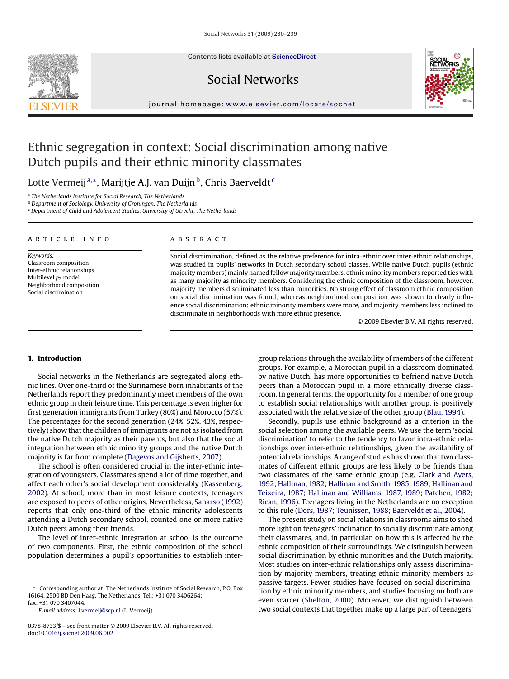Contents lists available at [ScienceDirect](http://www.sciencedirect.com/science/journal/03788733)

# Social Networks



journal homepage: [www.elsevier.com/locate/socnet](http://www.elsevier.com/locate/socnet)

# Ethnic segregation in context: Social discrimination among native Dutch pupils and their ethnic minority classmates

Lotte Vermeij<sup>a,\*</sup>, Marijtje A.J. van Duijn<sup>b</sup>, Chris Baerveldt<sup>c</sup>

<sup>a</sup> *The Netherlands Institute for Social Research, The Netherlands*

<sup>b</sup> *Department of Sociology, University of Groningen, The Netherlands*

<sup>c</sup> *Department of Child and Adolescent Studies, University of Utrecht, The Netherlands*

### article info

*Keywords:* Classroom composition Inter-ethnic relationships Multilevel  $p_2$  model Neighborhood composition Social discrimination

# ABSTRACT

Social discrimination, defined as the relative preference for intra-ethnic over inter-ethnic relationships, was studied in pupils' networks in Dutch secondary school classes. While native Dutch pupils (ethnic majority members) mainly named fellow majority members, ethnic minority members reported ties with as many majority as minority members. Considering the ethnic composition of the classroom, however, majority members discriminated less than minorities. No strong effect of classroom ethnic composition on social discrimination was found, whereas neighborhood composition was shown to clearly influence social discrimination: ethnic minority members were more, and majority members less inclined to discriminate in neighborhoods with more ethnic presence.

© 2009 Elsevier B.V. All rights reserved.

# **1. Introduction**

Social networks in the Netherlands are segregated along ethnic lines. Over one-third of the Surinamese born inhabitants of the Netherlands report they predominantly meet members of the own ethnic group in their leisure time. This percentage is even higher for first generation immigrants from Turkey (80%) and Morocco (57%). The percentages for the second generation (24%, 52%, 43%, respectively) show that the children of immigrants are not as isolated from the native Dutch majority as their parents, but also that the social integration between ethnic minority groups and the native Dutch majority is far from complete ([Dagevos and Gijsberts, 2007\).](#page-8-0)

The school is often considered crucial in the inter-ethnic integration of youngsters. Classmates spend a lot of time together, and affect each other's social development considerably ([Kassenberg,](#page-9-0) [2002\).](#page-9-0) At school, more than in most leisure contexts, teenagers are exposed to peers of other origins. Nevertheless, [Saharso \(1992\)](#page-9-0) reports that only one-third of the ethnic minority adolescents attending a Dutch secondary school, counted one or more native Dutch peers among their friends.

The level of inter-ethnic integration at school is the outcome of two components. First, the ethnic composition of the school population determines a pupil's opportunities to establish intergroup relations through the availability of members of the different groups. For example, a Moroccan pupil in a classroom dominated by native Dutch, has more opportunities to befriend native Dutch peers than a Moroccan pupil in a more ethnically diverse classroom. In general terms, the opportunity for a member of one group to establish social relationships with another group, is positively associated with the relative size of the other group ([Blau, 1994\).](#page-8-0)

Secondly, pupils use ethnic background as a criterion in the social selection among the available peers. We use the term 'social discrimination' to refer to the tendency to favor intra-ethnic relationships over inter-ethnic relationships, given the availability of potential relationships. A range of studies has shown that two classmates of different ethnic groups are less likely to be friends than two classmates of the same ethnic group (e.g. [Clark and Ayers,](#page-8-0) [1992; Hallinan, 1982; Hallinan and Smith, 1985, 1989; Hallinan and](#page-8-0) [Teixeira, 1987; Hallinan and Williams, 1987, 1989; Patchen, 1982;](#page-8-0) [Rícan, 1996\).](#page-8-0) Teenagers living in the Netherlands are no exception to this rule ([Dors, 1987; Teunissen, 1988; Baerveldt et al., 2004\).](#page-8-0)

The present study on social relations in classrooms aims to shed more light on teenagers' inclination to socially discriminate among their classmates, and, in particular, on how this is affected by the ethnic composition of their surroundings. We distinguish between social discrimination by ethnic minorities and the Dutch majority. Most studies on inter-ethnic relationships only assess discrimination by majority members, treating ethnic minority members as passive targets. Fewer studies have focused on social discrimination by ethnic minority members, and studies focusing on both are even scarcer ([Shelton, 2000\).](#page-9-0) Moreover, we distinguish between two social contexts that together make up a large part of teenagers'



Corresponding author at: The Netherlands Institute of Social Research, P.O. Box 16164, 2500 BD Den Haag, The Netherlands. Tel.: +31 070 3406264;

fax: +31 070 3407044.

*E-mail address:* [l.vermeij@scp.nl](mailto:l.vermeij@scp.nl) (L. Vermeij).

<sup>0378-8733/\$ –</sup> see front matter © 2009 Elsevier B.V. All rights reserved. doi:[10.1016/j.socnet.2009.06.002](dx.doi.org/10.1016/j.socnet.2009.06.002)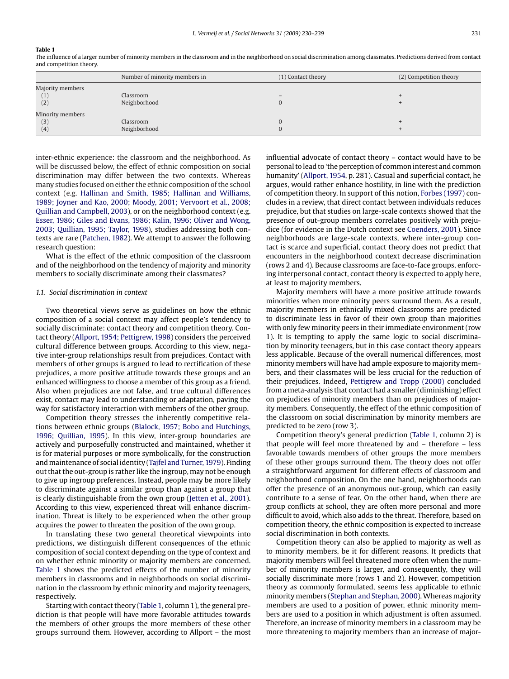#### **Table 1**

The influence of a larger number of minority members in the classroom and in the neighborhood on social discrimination among classmates. Predictions derived from contact and competition theory.

|                  | Number of minority members in | (1) Contact theory | (2) Competition theory |
|------------------|-------------------------------|--------------------|------------------------|
| Majority members |                               |                    |                        |
| (1)              | Classroom                     |                    |                        |
| (2)              | Neighborhood                  |                    |                        |
| Minority members |                               |                    |                        |
| (3)              | Classroom                     |                    |                        |
| (4)              | Neighborhood                  |                    |                        |

inter-ethnic experience: the classroom and the neighborhood. As will be discussed below, the effect of ethnic composition on social discrimination may differ between the two contexts. Whereas many studies focused on either the ethnic composition of the school context (e.g. [Hallinan and Smith, 1985; Hallinan and Williams,](#page-8-0) [1989; Joyner and Kao, 2000; Moody, 2001; Vervoort et al., 2008;](#page-8-0) [Quillian and Campbell, 2003\),](#page-8-0) or on the neighborhood context (e.g. [Esser, 1986; Giles and Evans, 1986; Kalin, 1996; Oliver and Wong,](#page-8-0) [2003; Quillian, 1995; Taylor, 1998\),](#page-8-0) studies addressing both contexts are rare ([Patchen, 1982\).](#page-9-0) We attempt to answer the following research question:

What is the effect of the ethnic composition of the classroom and of the neighborhood on the tendency of majority and minority members to socially discriminate among their classmates?

## *1.1. Social discrimination in context*

Two theoretical views serve as guidelines on how the ethnic composition of a social context may affect people's tendency to socially discriminate: contact theory and competition theory. Contact theory ([Allport, 1954; Pettigrew, 1998\) c](#page-8-0)onsiders the perceived cultural difference between groups. According to this view, negative inter-group relationships result from prejudices. Contact with members of other groups is argued to lead to rectification of these prejudices, a more positive attitude towards these groups and an enhanced willingness to choose a member of this group as a friend. Also when prejudices are not false, and true cultural differences exist, contact may lead to understanding or adaptation, paving the way for satisfactory interaction with members of the other group.

Competition theory stresses the inherently competitive relations between ethnic groups ([Blalock, 1957; Bobo and Hutchings,](#page-8-0) [1996; Quillian, 1995\).](#page-8-0) In this view, inter-group boundaries are actively and purposefully constructed and maintained, whether it is for material purposes or more symbolically, for the construction and maintenance of social identity [\(Tajfel and Turner, 1979\).](#page-9-0) Finding out that the out-group is rather like the ingroup, may not be enough to give up ingroup preferences. Instead, people may be more likely to discriminate against a similar group than against a group that is clearly distinguishable from the own group ([Jetten et al., 2001\).](#page-8-0) According to this view, experienced threat will enhance discrimination. Threat is likely to be experienced when the other group acquires the power to threaten the position of the own group.

In translating these two general theoretical viewpoints into predictions, we distinguish different consequences of the ethnic composition of social context depending on the type of context and on whether ethnic minority or majority members are concerned. Table 1 shows the predicted effects of the number of minority members in classrooms and in neighborhoods on social discrimination in the classroom by ethnic minority and majority teenagers, respectively.

Starting with contact theory (Table 1, column 1), the general prediction is that people will have more favorable attitudes towards the members of other groups the more members of these other groups surround them. However, according to Allport – the most influential advocate of contact theory – contact would have to be personal to lead to 'the perception of common interest and common humanity' [\(Allport, 1954, p](#page-8-0). 281). Casual and superficial contact, he argues, would rather enhance hostility, in line with the prediction of competition theory. In support of this notion, [Forbes \(1997\)](#page-8-0) concludes in a review, that direct contact between individuals reduces prejudice, but that studies on large-scale contexts showed that the presence of out-group members correlates positively with prejudice (for evidence in the Dutch context see [Coenders, 2001\).](#page-8-0) Since neighborhoods are large-scale contexts, where inter-group contact is scarce and superficial, contact theory does not predict that encounters in the neighborhood context decrease discrimination (rows 2 and 4). Because classrooms are face-to-face groups, enforcing interpersonal contact, contact theory is expected to apply here, at least to majority members.

Majority members will have a more positive attitude towards minorities when more minority peers surround them. As a result, majority members in ethnically mixed classrooms are predicted to discriminate less in favor of their own group than majorities with only few minority peers in their immediate environment (row 1). It is tempting to apply the same logic to social discrimination by minority teenagers, but in this case contact theory appears less applicable. Because of the overall numerical differences, most minority members will have had ample exposure to majority members, and their classmates will be less crucial for the reduction of their prejudices. Indeed, [Pettigrew and Tropp \(2000\)](#page-9-0) concluded from a meta-analysis that contact had a smaller (diminishing) effect on prejudices of minority members than on prejudices of majority members. Consequently, the effect of the ethnic composition of the classroom on social discrimination by minority members are predicted to be zero (row 3).

Competition theory's general prediction (Table 1, column 2) is that people will feel more threatened by and – therefore – less favorable towards members of other groups the more members of these other groups surround them. The theory does not offer a straightforward argument for different effects of classroom and neighborhood composition. On the one hand, neighborhoods can offer the presence of an anonymous out-group, which can easily contribute to a sense of fear. On the other hand, when there are group conflicts at school, they are often more personal and more difficult to avoid, which also adds to the threat. Therefore, based on competition theory, the ethnic composition is expected to increase social discrimination in both contexts.

Competition theory can also be applied to majority as well as to minority members, be it for different reasons. It predicts that majority members will feel threatened more often when the number of minority members is larger, and consequently, they will socially discriminate more (rows 1 and 2). However, competition theory as commonly formulated, seems less applicable to ethnic minority members ([Stephan and Stephan, 2000\).](#page-9-0) Whereas majority members are used to a position of power, ethnic minority members are used to a position in which adjustment is often assumed. Therefore, an increase of minority members in a classroom may be more threatening to majority members than an increase of major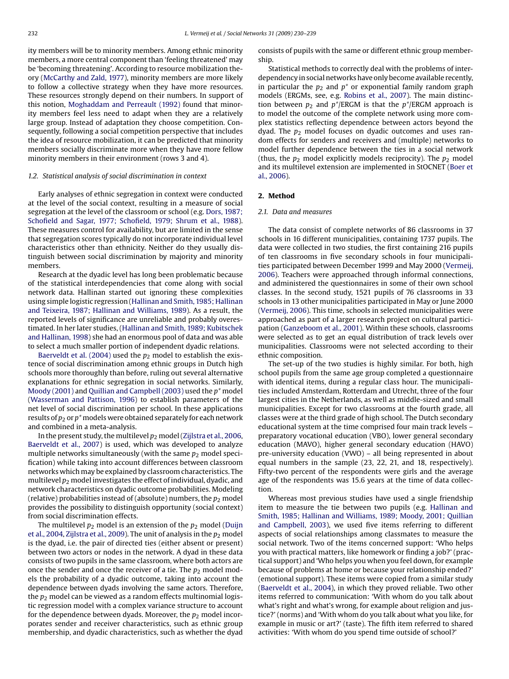ity members will be to minority members. Among ethnic minority members, a more central component than 'feeling threatened' may be 'becoming threatening'. According to resource mobilization theory ([McCarthy and Zald, 1977\),](#page-9-0) minority members are more likely to follow a collective strategy when they have more resources. These resources strongly depend on their numbers. In support of this notion, [Moghaddam and Perreault \(1992\)](#page-9-0) found that minority members feel less need to adapt when they are a relatively large group. Instead of adaptation they choose competition. Consequently, following a social competition perspective that includes the idea of resource mobilization, it can be predicted that minority members socially discriminate more when they have more fellow minority members in their environment (rows 3 and 4).

## *1.2. Statistical analysis of social discrimination in context*

Early analyses of ethnic segregation in context were conducted at the level of the social context, resulting in a measure of social segregation at the level of the classroom or school (e.g. [Dors, 1987;](#page-8-0) [Schofield and Sagar, 1977; Schofield, 1979; Shrum et al., 1988\).](#page-8-0) These measures control for availability, but are limited in the sense that segregation scores typically do not incorporate individual level characteristics other than ethnicity. Neither do they usually distinguish between social discrimination by majority and minority members.

Research at the dyadic level has long been problematic because of the statistical interdependencies that come along with social network data. Hallinan started out ignoring these complexities using simple logistic regression [\(Hallinan and Smith, 1985; Hallinan](#page-8-0) [and Teixeira, 1987; Hallinan and Williams, 1989\).](#page-8-0) As a result, the reported levels of significance are unreliable and probably overestimated. In her later studies, ([Hallinan and Smith, 1989; Kubitschek](#page-8-0) [and Hallinan, 1998\) s](#page-8-0)he had an enormous pool of data and was able to select a much smaller portion of independent dyadic relations.

[Baerveldt et al. \(2004\)](#page-8-0) used the  $p_2$  model to establish the existence of social discrimination among ethnic groups in Dutch high schools more thoroughly than before, ruling out several alternative explanations for ethnic segregation in social networks. Similarly, [Moody \(2001\)](#page-9-0) and [Quillian and Campbell \(2003\)](#page-9-0) used the *p\** model ([Wasserman and Pattison, 1996\)](#page-9-0) to establish parameters of the net level of social discrimination per school. In these applications results of *p*<sup>2</sup> or *p\**models were obtained separately for each network and combined in a meta-analysis.

In the present study, the multilevel  $p_2$  model [\(Zijlstra et al., 2006,](#page-9-0) [Baerveldt et al., 2007\)](#page-8-0) is used, which was developed to analyze multiple networks simultaneously (with the same  $p_2$  model specification) while taking into account differences between classroom networks which may be explained by classroom characteristics. The multilevel *p*<sup>2</sup> model investigates the effect of individual, dyadic, and network characteristics on dyadic outcome probabilities. Modeling (relative) probabilities instead of (absolute) numbers, the  $p_2$  model provides the possibility to distinguish opportunity (social context) from social discrimination effects.

The multilevel  $p_2$  model is an extension of the  $p_2$  model ([Duijn](#page-8-0) [et al., 2004,](#page-8-0) [Zijlstra et al., 2009\).](#page-9-0) The unit of analysis in the  $p_2$  model is the dyad, i.e. the pair of directed ties (either absent or present) between two actors or nodes in the network. A dyad in these data consists of two pupils in the same classroom, where both actors are once the sender and once the receiver of a tie. The  $p_2$  model models the probability of a dyadic outcome, taking into account the dependence between dyads involving the same actors. Therefore, the *p*<sup>2</sup> model can be viewed as a random effects multinomial logistic regression model with a complex variance structure to account for the dependence between dyads. Moreover, the  $p_2$  model incorporates sender and receiver characteristics, such as ethnic group membership, and dyadic characteristics, such as whether the dyad consists of pupils with the same or different ethnic group membership.

Statistical methods to correctly deal with the problems of interdependency in social networks have only become available recently, in particular the  $p_2$  and  $p^*$  or exponential family random graph models (ERGMs, see, e.g. [Robins et al., 2007\).](#page-9-0) The main distinction between  $p_2$  and  $p^*$ /ERGM is that the  $p^*$ /ERGM approach is to model the outcome of the complete network using more complex statistics reflecting dependence between actors beyond the dyad. The  $p_2$  model focuses on dyadic outcomes and uses random effects for senders and receivers and (multiple) networks to model further dependence between the ties in a social network (thus, the  $p_2$  model explicitly models reciprocity). The  $p_2$  model and its multilevel extension are implemented in StOCNET ([Boer et](#page-8-0) [al., 2006\).](#page-8-0)

## **2. Method**

#### *2.1. Data and measures*

The data consist of complete networks of 86 classrooms in 37 schools in 16 different municipalities, containing 1737 pupils. The data were collected in two studies, the first containing 216 pupils of ten classrooms in five secondary schools in four municipalities participated between December 1999 and May 2000 ([Vermeij,](#page-9-0) [2006\).](#page-9-0) Teachers were approached through informal connections, and administered the questionnaires in some of their own school classes. In the second study, 1521 pupils of 76 classrooms in 33 schools in 13 other municipalities participated in May or June 2000 [\(Vermeij, 2006\).](#page-9-0) This time, schools in selected municipalities were approached as part of a larger research project on cultural participation ([Ganzeboom et al., 2001\).](#page-8-0) Within these schools, classrooms were selected as to get an equal distribution of track levels over municipalities. Classrooms were not selected according to their ethnic composition.

The set-up of the two studies is highly similar. For both, high school pupils from the same age group completed a questionnaire with identical items, during a regular class hour. The municipalities included Amsterdam, Rotterdam and Utrecht, three of the four largest cities in the Netherlands, as well as middle-sized and small municipalities. Except for two classrooms at the fourth grade, all classes were at the third grade of high school. The Dutch secondary educational system at the time comprised four main track levels – preparatory vocational education (VBO), lower general secondary education (MAVO), higher general secondary education (HAVO) pre-university education (VWO) – all being represented in about equal numbers in the sample (23, 22, 21, and 18, respectively). Fifty-two percent of the respondents were girls and the average age of the respondents was 15.6 years at the time of data collection.

Whereas most previous studies have used a single friendship item to measure the tie between two pupils (e.g. [Hallinan and](#page-8-0) [Smith, 1985; Hallinan and Williams, 1989; Moody, 2001; Quillian](#page-8-0) [and Campbell, 2003\),](#page-8-0) we used five items referring to different aspects of social relationships among classmates to measure the social network. Two of the items concerned support: 'Who helps you with practical matters, like homework or finding a job?' (practical support) and 'Who helps you when you feel down, for example because of problems at home or because your relationship ended?' (emotional support). These items were copied from a similar study [\(Baerveldt et al., 2004\),](#page-8-0) in which they proved reliable. Two other items referred to communication: 'With whom do you talk about what's right and what's wrong, for example about religion and justice?' (norms) and 'With whom do you talk about what you like, for example in music or art?' (taste). The fifth item referred to shared activities: 'With whom do you spend time outside of school?'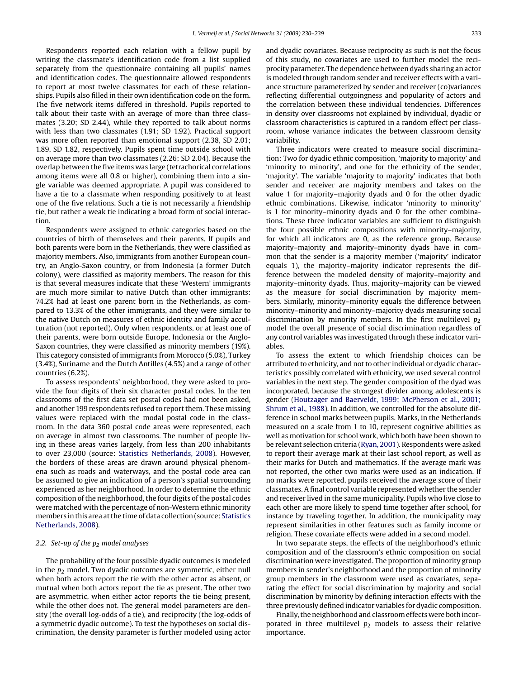Respondents reported each relation with a fellow pupil by writing the classmate's identification code from a list supplied separately from the questionnaire containing all pupils' names and identification codes. The questionnaire allowed respondents to report at most twelve classmates for each of these relationships. Pupils also filled in their own identification code on the form. The five network items differed in threshold. Pupils reported to talk about their taste with an average of more than three classmates (3.20; SD 2.44), while they reported to talk about norms with less than two classmates (1.91; SD 1.92). Practical support was more often reported than emotional support (2.38, SD 2.01; 1.89, SD 1.82, respectively. Pupils spent time outside school with on average more than two classmates (2.26; SD 2.04). Because the overlap between the five items was large (tetrachorical correlations among items were all 0.8 or higher), combining them into a single variable was deemed appropriate. A pupil was considered to have a tie to a classmate when responding positively to at least one of the five relations. Such a tie is not necessarily a friendship tie, but rather a weak tie indicating a broad form of social interaction.

Respondents were assigned to ethnic categories based on the countries of birth of themselves and their parents. If pupils and both parents were born in the Netherlands, they were classified as majority members. Also, immigrants from another European country, an Anglo-Saxon country, or from Indonesia (a former Dutch colony), were classified as majority members. The reason for this is that several measures indicate that these 'Western' immigrants are much more similar to native Dutch than other immigrants: 74.2% had at least one parent born in the Netherlands, as compared to 13.3% of the other immigrants, and they were similar to the native Dutch on measures of ethnic identity and family acculturation (not reported). Only when respondents, or at least one of their parents, were born outside Europe, Indonesia or the Anglo-Saxon countries, they were classified as minority members (19%). This category consisted of immigrants from Morocco (5.0%), Turkey (3.4%), Suriname and the Dutch Antilles (4.5%) and a range of other countries (6.2%).

To assess respondents' neighborhood, they were asked to provide the four digits of their six character postal codes. In the ten classrooms of the first data set postal codes had not been asked, and another 199 respondents refused to report them. These missing values were replaced with the modal postal code in the classroom. In the data 360 postal code areas were represented, each on average in almost two classrooms. The number of people living in these areas varies largely, from less than 200 inhabitants to over 23,000 (source: [Statistics Netherlands, 2008\).](#page-9-0) However, the borders of these areas are drawn around physical phenomena such as roads and waterways, and the postal code area can be assumed to give an indication of a person's spatial surrounding experienced as her neighborhood. In order to determine the ethnic composition of the neighborhood, the four digits of the postal codes were matched with the percentage of non-Western ethnic minority members in this area at the time of data collection (source: [Statistics](#page-9-0) [Netherlands, 2008\).](#page-9-0)

## *2.2. Set-up of the p2 model analyses*

The probability of the four possible dyadic outcomes is modeled in the  $p_2$  model. Two dyadic outcomes are symmetric, either null when both actors report the tie with the other actor as absent, or mutual when both actors report the tie as present. The other two are asymmetric, when either actor reports the tie being present, while the other does not. The general model parameters are density (the overall log-odds of a tie), and reciprocity (the log-odds of a symmetric dyadic outcome). To test the hypotheses on social discrimination, the density parameter is further modeled using actor and dyadic covariates. Because reciprocity as such is not the focus of this study, no covariates are used to further model the reciprocity parameter. The dependence between dyads sharing an actor is modeled through random sender and receiver effects with a variance structure parameterized by sender and receiver (co)variances reflecting differential outgoingness and popularity of actors and the correlation between these individual tendencies. Differences in density over classrooms not explained by individual, dyadic or classroom characteristics is captured in a random effect per classroom, whose variance indicates the between classroom density variability.

Three indicators were created to measure social discrimination: Two for dyadic ethnic composition, 'majority to majority' and 'minority to minority', and one for the ethnicity of the sender, 'majority'. The variable 'majority to majority' indicates that both sender and receiver are majority members and takes on the value 1 for majority–majority dyads and 0 for the other dyadic ethnic combinations. Likewise, indicator 'minority to minority' is 1 for minority–minority dyads and 0 for the other combinations. These three indicator variables are sufficient to distinguish the four possible ethnic compositions with minority–majority, for which all indicators are 0, as the reference group. Because majority–majority and majority–minority dyads have in common that the sender is a majority member ('majority' indicator equals 1), the majority–majority indicator represents the difference between the modeled density of majority–majority and majority–minority dyads. Thus, majority–majority can be viewed as the measure for social discrimination by majority members. Similarly, minority–minority equals the difference between minority–minority and minority–majority dyads measuring social discrimination by minority members. In the first multilevel  $p<sub>2</sub>$ model the overall presence of social discrimination regardless of any control variables was investigated through these indicator variables.

To assess the extent to which friendship choices can be attributed to ethnicity, and not to other individual or dyadic characteristics possibly correlated with ethnicity, we used several control variables in the next step. The gender composition of the dyad was incorporated, because the strongest divider among adolescents is gender [\(Houtzager and Baerveldt, 1999; McPherson et al., 2001;](#page-8-0) [Shrum et al., 1988\).](#page-8-0) In addition, we controlled for the absolute difference in school marks between pupils. Marks, in the Netherlands measured on a scale from 1 to 10, represent cognitive abilities as well as motivation for school work, which both have been shown to be relevant selection criteria [\(Ryan, 2001\).](#page-9-0) Respondents were asked to report their average mark at their last school report, as well as their marks for Dutch and mathematics. If the average mark was not reported, the other two marks were used as an indication. If no marks were reported, pupils received the average score of their classmates. A final control variable represented whether the sender and receiver lived in the same municipality. Pupils who live close to each other are more likely to spend time together after school, for instance by traveling together. In addition, the municipality may represent similarities in other features such as family income or religion. These covariate effects were added in a second model.

In two separate steps, the effects of the neighborhood's ethnic composition and of the classroom's ethnic composition on social discrimination were investigated. The proportion of minority group members in sender's neighborhood and the proportion of minority group members in the classroom were used as covariates, separating the effect for social discrimination by majority and social discrimination by minority by defining interaction effects with the three previously defined indicator variables for dyadic composition.

Finally, the neighborhood and classroom effects were both incorporated in three multilevel  $p_2$  models to assess their relative importance.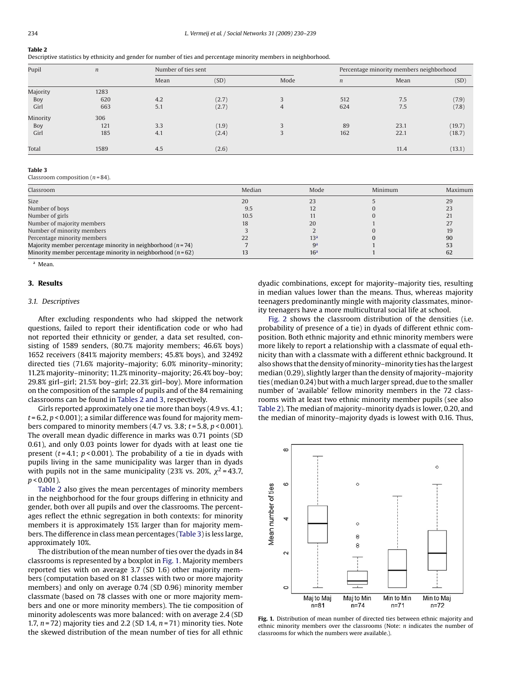<span id="page-4-0"></span>

| ш |  |
|---|--|
|   |  |

Descriptive statistics by ethnicity and gender for number of ties and percentage minority members in neighborhood.

| Pupil<br>$\boldsymbol{n}$ |      |      | Number of ties sent |              |                  | Percentage minority members neighborhood |        |
|---------------------------|------|------|---------------------|--------------|------------------|------------------------------------------|--------|
|                           |      | Mean | (SD)                | Mode         | $\boldsymbol{n}$ | Mean                                     | (SD)   |
| Majority                  | 1283 |      |                     |              |                  |                                          |        |
| Boy                       | 620  | 4.2  | (2.7)               | $\mathbf{3}$ | 512              | 7.5                                      | (7.9)  |
| Girl                      | 663  | 5.1  | (2.7)               | 4            | 624              | 7.5                                      | (7.8)  |
| Minority                  | 306  |      |                     |              |                  |                                          |        |
| Boy                       | 121  | 3.3  | (1.9)               | $\mathbf{c}$ | 89               | 23.1                                     | (19.7) |
| Girl                      | 185  | 4.1  | (2.4)               | 3            | 162              | 22.1                                     | (18.7) |
| <b>Total</b>              | 1589 | 4.5  | (2.6)               |              |                  | 11.4                                     | (13.1) |

#### **Table 3**

Classroom composition (*n* = 84).

| Classroom                                                        | Median | Mode            | Minimum | Maximum       |
|------------------------------------------------------------------|--------|-----------------|---------|---------------|
| Size                                                             | 20     |                 |         | 29            |
| Number of boys                                                   | 9.5    |                 |         | 23            |
| Number of girls                                                  | 10.5   |                 |         | $\mathcal{L}$ |
| Number of majority members                                       | 18     | 20              |         | 27            |
| Number of minority members                                       |        |                 |         |               |
| Percentage minority members                                      | 22     | 13 <sup>a</sup> |         | 90            |
| Majority member percentage minority in neighborhood ( $n = 74$ ) |        | qa              |         | 53            |
| Minority member percentage minority in neighborhood ( $n = 62$ ) | 13     | 16 <sup>a</sup> |         | 62            |

<sup>a</sup> Mean.

# **3. Results**

# *3.1. Descriptives*

After excluding respondents who had skipped the network questions, failed to report their identification code or who had not reported their ethnicity or gender, a data set resulted, consisting of 1589 senders, (80.7% majority members; 46.6% boys) 1652 receivers (841% majority members; 45.8% boys), and 32492 directed ties (71.6% majority–majority; 6.0% minority–minority; 11.2% majority–minority; 11.2% minority–majority; 26.4% boy–boy; 29.8% girl–girl; 21.5% boy–girl; 22.3% girl–boy). More information on the composition of the sample of pupils and of the 84 remaining classrooms can be found in Tables 2 and 3, respectively.

Girls reported approximately one tie more than boys (4.9 vs. 4.1; *t* = 6.2, *p* < 0.001); a similar difference was found for majority members compared to minority members (4.7 vs. 3.8; *t* = 5.8, *p* < 0.001). The overall mean dyadic difference in marks was 0.71 points (SD 0.61), and only 0.03 points lower for dyads with at least one tie present (*t* = 4.1; *p* < 0.001). The probability of a tie in dyads with pupils living in the same municipality was larger than in dyads with pupils not in the same municipality (23% vs. 20%,  $\chi^2$ =43.7, *p* < 0.001).

Table 2 also gives the mean percentages of minority members in the neighborhood for the four groups differing in ethnicity and gender, both over all pupils and over the classrooms. The percentages reflect the ethnic segregation in both contexts: for minority members it is approximately 15% larger than for majority members. The difference in class mean percentages (Table 3) is less large, approximately 10%.

The distribution of the mean number of ties over the dyads in 84 classrooms is represented by a boxplot in Fig. 1. Majority members reported ties with on average 3.7 (SD 1.6) other majority members (computation based on 81 classes with two or more majority members) and only on average 0.74 (SD 0.96) minority member classmate (based on 78 classes with one or more majority members and one or more minority members). The tie composition of minority adolescents was more balanced: with on average 2.4 (SD 1.7, *n* = 72) majority ties and 2.2 (SD 1.4, *n* = 71) minority ties. Note the skewed distribution of the mean number of ties for all ethnic dyadic combinations, except for majority–majority ties, resulting in median values lower than the means. Thus, whereas majority teenagers predominantly mingle with majority classmates, minority teenagers have a more multicultural social life at school.

[Fig. 2](#page-6-0) shows the classroom distribution of the densities (i.e. probability of presence of a tie) in dyads of different ethnic composition. Both ethnic majority and ethnic minority members were more likely to report a relationship with a classmate of equal ethnicity than with a classmate with a different ethnic background. It also shows that the density of minority–minority ties has the largest median (0.29), slightly larger than the density of majority–majority ties (median 0.24) but with a much larger spread, due to the smaller number of 'available' fellow minority members in the 72 classrooms with at least two ethnic minority member pupils (see also Table 2). The median of majority–minority dyads is lower, 0.20, and the median of minority–majority dyads is lowest with 0.16. Thus,



**Fig. 1.** Distribution of mean number of directed ties between ethnic majority and ethnic minority members over the classrooms (Note: *n* indicates the number of classrooms for which the numbers were available.).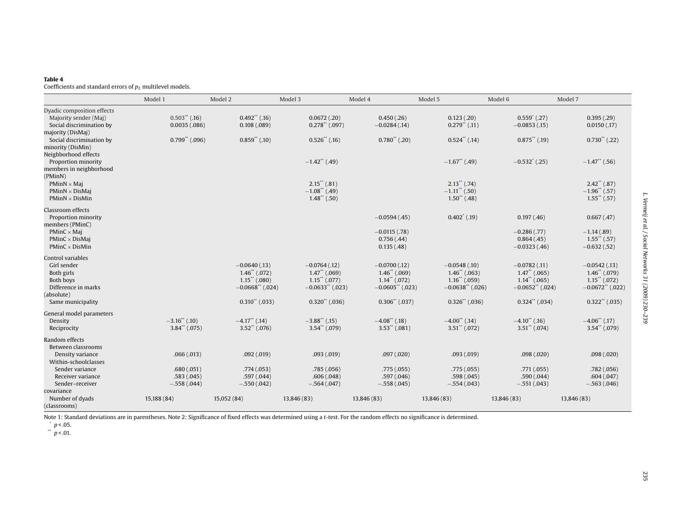#### <span id="page-5-0"></span>**Table 4**

Coefficients and standard errors of *p*<sup>2</sup> multilevel models.

|                                                                                                                       | Model 1                                         | Model 2                                                                                                       | Model 3                                                                                                                   | Model 4                                                                                                       | Model 5                                                                                                                   | Model 6                                                                                                                   | Model 7                                                                                                                              |
|-----------------------------------------------------------------------------------------------------------------------|-------------------------------------------------|---------------------------------------------------------------------------------------------------------------|---------------------------------------------------------------------------------------------------------------------------|---------------------------------------------------------------------------------------------------------------|---------------------------------------------------------------------------------------------------------------------------|---------------------------------------------------------------------------------------------------------------------------|--------------------------------------------------------------------------------------------------------------------------------------|
| Dyadic composition effects<br>Majority sender (Maj)<br>Social discrimination by                                       | $0.503$ ** (.16)<br>0.0035(0.086)               | $0.492$ ** (.16)<br>0.108(.089)                                                                               | 0.0672(0.20)<br>$0.278$ (.097)                                                                                            | 0.450(.26)<br>$-0.0284(0.14)$                                                                                 | 0.123(0.20)<br>$0.279$ <sup>**</sup> (.11)                                                                                | $0.559^{*}$ (.27)<br>$-0.0853(0.15)$                                                                                      | 0.395(.29)<br>0.0150(.17)                                                                                                            |
| majority (DisMaj)<br>Social discrimination by<br>minority (DisMin)                                                    | $0.799$ * (.096)                                | $0.859$ ** (.10)                                                                                              | $0.526$ * (.16)                                                                                                           | $0.780$ <sup>**</sup> (.20)                                                                                   | $0.524$ <sup>**</sup> (.14)                                                                                               | $0.875$ ** (.19)                                                                                                          | $0.730^{**}$ (.22)                                                                                                                   |
| Neighborhood effects<br>Proportion minority<br>members in neighborhood                                                |                                                 |                                                                                                               | $-1.42$ <sup>**</sup> (.49)                                                                                               |                                                                                                               | $-1.67$ <sup>**</sup> (.49)                                                                                               | $-0.532^{*}$ (.25)                                                                                                        | $-1.47$ ** (.56)                                                                                                                     |
| (PMinN)<br>$PMinN \times Maj$<br>$PMinN \times DisMai$<br>$PMinN \times DisMin$                                       |                                                 |                                                                                                               | $2.15$ ** (.81)<br>$-1.08$ <sup>**</sup> (.49)<br>$1.48$ (.50)                                                            |                                                                                                               | $2.13$ <sup>**</sup> (.74)<br>$-1.11$ <sup>**</sup> (.50)<br>$1.50^{**}$ (.48)                                            |                                                                                                                           | $2.42$ <sup>**</sup> (.87)<br>$-1.96$ * (.57)<br>$1.55$ <sup>**</sup> (.57)                                                          |
| Classroom effects<br>Proportion minority<br>members (PMinC)                                                           |                                                 |                                                                                                               |                                                                                                                           | $-0.0594(0.45)$                                                                                               | $0.402^*$ (.19)                                                                                                           | 0.197(0.46)                                                                                                               | 0.667(0.47)                                                                                                                          |
| $PMinC \times Maj$<br>$PMinC \times DisMai$<br>$PMinC \times DisMin$                                                  |                                                 |                                                                                                               |                                                                                                                           | $-0.0115(0.78)$<br>0.756(.44)<br>0.135(.48)                                                                   |                                                                                                                           | $-0.286(0.77)$<br>0.864(0.45)<br>$-0.0323(0.46)$                                                                          | $-1.14(0.89)$<br>$1.55$ <sup>**</sup> (.57)<br>$-0.632(0.52)$                                                                        |
| Control variables<br>Girl sender<br>Both girls<br>Both boys<br>Difference in marks<br>(absolute)<br>Same municipality |                                                 | $-0.0640(0.13)$<br>$1.46$ (.072)<br>$1.15$ ** (.080)<br>$-0.0668$ <sup>**</sup> (.024)<br>$0.310^{**}$ (.033) | $-0.0764(0.12)$<br>$1.47$ ** (.069)<br>$1.15$ <sup>**</sup> (.077)<br>$-0.0633$ ** (.023)<br>$0.320$ <sup>**</sup> (.036) | $-0.0700(.12)$<br>$1.46$ ** (.069)<br>$1.14$ ** (.072)<br>$-0.0605$ ** (.023)<br>$0.306$ <sup>**</sup> (.037) | $-0.0548(0.10)$<br>$1.46$ <sup>**</sup> (.063)<br>$1.16$ <sup>**</sup> (.059)<br>$-0.0638$ ** (.026)<br>$0.326$ ** (.036) | $-0.0782(0.11)$<br>$1.47$ ** (.065)<br>$1.14$ <sup>**</sup> (.065)<br>$-0.0652$ <sup>**</sup> (.024)<br>$0.324$ ** (.034) | $-0.0542(0.13)$<br>$1.46$ <sup>**</sup> (.079)<br>$1.15$ <sup>**</sup> (.072)<br>$-0.0672$ <sup>**</sup> (.022)<br>$0.322$ ** (.035) |
| General model parameters<br>Density<br>Reciprocity                                                                    | $-3.16$ ** (.10)<br>$3.84$ <sup>**</sup> (.075) | $-4.17$ ** (.14)<br>$3.52$ (.076)                                                                             | $-3.88$ <sup>**</sup> (.15)<br>$3.54$ <sup>**</sup> (.079)                                                                | $-4.08$ ** (.18)<br>$3.53$ (.081)                                                                             | $-4.00^{**}$ (.14)<br>$3.51$ <sup>**</sup> (.072)                                                                         | $-4.10$ (.16)<br>$3.51$ (.074)                                                                                            | $-4.06$ <sup>**</sup> (.17)<br>$3.54$ <sup>**</sup> (.079)                                                                           |
| Random effects<br>Between classrooms<br>Density variance                                                              | .066(.013)                                      | .092(.019)                                                                                                    | .093(.019)                                                                                                                | .097(.020)                                                                                                    | .093(.019)                                                                                                                | .098(.020)                                                                                                                | .098(.020)                                                                                                                           |
| Within-schoolclasses<br>Sender variance<br>Receiver variance<br>Sender-receiver                                       | .680(.051)<br>.583(.045)<br>$-.558(.044)$       | .774(.053)<br>.597(.044)<br>$-.550(.042)$                                                                     | .785(.056)<br>.606(.048)<br>$-.564(.047)$                                                                                 | .775(.055)<br>.597(.046)<br>$-.558(.045)$                                                                     | .775(.055)<br>.598(.045)<br>$-.554(.043)$                                                                                 | .771(.055)<br>.590(.044)<br>$-.551(.043)$                                                                                 | .782(.056)<br>.604(.047)<br>$-.563(.046)$                                                                                            |
| covariance<br>Number of dyads<br>(classrooms)                                                                         | 15,188 (84)                                     | 15,052 (84)                                                                                                   | 13,846 (83)                                                                                                               | 13,846 (83)                                                                                                   | 13,846 (83)                                                                                                               | 13,846 (83)                                                                                                               | 13,846 (83)                                                                                                                          |

Note 1: Standard deviations are in parentheses. Note 2: Significance of fixed effects was determined using <sup>a</sup> *<sup>t</sup>*-test. For the random effects no significance is determined.

\* *p* <sup>&</sup>lt; .05. \*\* *p* <sup>&</sup>lt; .01.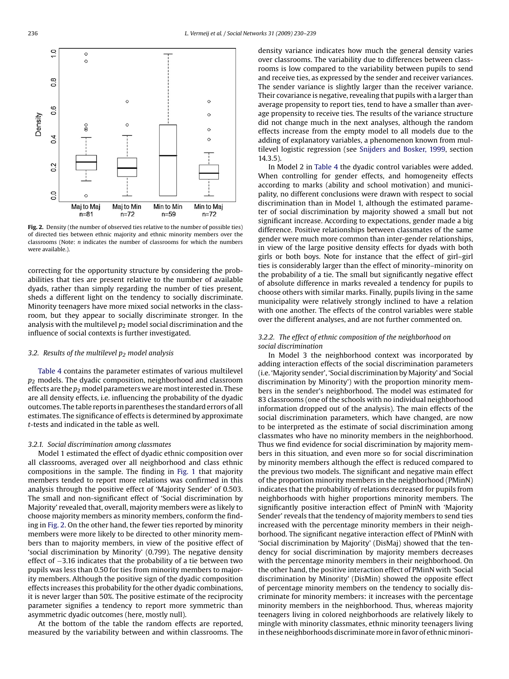<span id="page-6-0"></span>

**Fig. 2.** Density (the number of observed ties relative to the number of possible ties) of directed ties between ethnic majority and ethnic minority members over the classrooms (Note: *n* indicates the number of classrooms for which the numbers were available.).

correcting for the opportunity structure by considering the probabilities that ties are present relative to the number of available dyads, rather than simply regarding the number of ties present, sheds a different light on the tendency to socially discriminate. Minority teenagers have more mixed social networks in the classroom, but they appear to socially discriminate stronger. In the analysis with the multilevel *p*<sup>2</sup> model social discrimination and the influence of social contexts is further investigated.

# *3.2. Results of the multilevel p2 model analysis*

[Table 4](#page-5-0) contains the parameter estimates of various multilevel *p*<sup>2</sup> models. The dyadic composition, neighborhood and classroom effects are the  $p_2$  model parameters we are most interested in. These are all density effects, i.e. influencing the probability of the dyadic outcomes. The table reports in parentheses the standard errors of all estimates. The significance of effects is determined by approximate *t*-tests and indicated in the table as well.

#### *3.2.1. Social discrimination among classmates*

Model 1 estimated the effect of dyadic ethnic composition over all classrooms, averaged over all neighborhood and class ethnic compositions in the sample. The finding in [Fig. 1](#page-4-0) that majority members tended to report more relations was confirmed in this analysis through the positive effect of 'Majority Sender' of 0.503. The small and non-significant effect of 'Social discrimination by Majority' revealed that, overall, majority members were as likely to choose majority members as minority members, conform the finding in Fig. 2. On the other hand, the fewer ties reported by minority members were more likely to be directed to other minority members than to majority members, in view of the positive effect of 'social discrimination by Minority' (0.799). The negative density effect of −3.16 indicates that the probability of a tie between two pupils was less than 0.50 for ties from minority members to majority members. Although the positive sign of the dyadic composition effects increases this probability for the other dyadic combinations, it is never larger than 50%. The positive estimate of the reciprocity parameter signifies a tendency to report more symmetric than asymmetric dyadic outcomes (here, mostly null).

At the bottom of the table the random effects are reported, measured by the variability between and within classrooms. The density variance indicates how much the general density varies over classrooms. The variability due to differences between classrooms is low compared to the variability between pupils to send and receive ties, as expressed by the sender and receiver variances. The sender variance is slightly larger than the receiver variance. Their covariance is negative, revealing that pupils with a larger than average propensity to report ties, tend to have a smaller than average propensity to receive ties. The results of the variance structure did not change much in the next analyses, although the random effects increase from the empty model to all models due to the adding of explanatory variables, a phenomenon known from multilevel logistic regression (see [Snijders and Bosker, 1999,](#page-9-0) section 14.3.5).

In Model 2 in [Table 4](#page-5-0) the dyadic control variables were added. When controlling for gender effects, and homogeneity effects according to marks (ability and school motivation) and municipality, no different conclusions were drawn with respect to social discrimination than in Model 1, although the estimated parameter of social discrimination by majority showed a small but not significant increase. According to expectations, gender made a big difference. Positive relationships between classmates of the same gender were much more common than inter-gender relationships, in view of the large positive density effects for dyads with both girls or both boys. Note for instance that the effect of girl–girl ties is considerably larger than the effect of minority–minority on the probability of a tie. The small but significantly negative effect of absolute difference in marks revealed a tendency for pupils to choose others with similar marks. Finally, pupils living in the same municipality were relatively strongly inclined to have a relation with one another. The effects of the control variables were stable over the different analyses, and are not further commented on.

# *3.2.2. The effect of ethnic composition of the neighborhood on social discrimination*

In Model 3 the neighborhood context was incorporated by adding interaction effects of the social discrimination parameters (i.e. 'Majority sender', 'Social discrimination by Majority' and 'Social discrimination by Minority') with the proportion minority members in the sender's neighborhood. The model was estimated for 83 classrooms (one of the schools with no individual neighborhood information dropped out of the analysis). The main effects of the social discrimination parameters, which have changed, are now to be interpreted as the estimate of social discrimination among classmates who have no minority members in the neighborhood. Thus we find evidence for social discrimination by majority members in this situation, and even more so for social discrimination by minority members although the effect is reduced compared to the previous two models. The significant and negative main effect of the proportion minority members in the neighborhood (PMinN) indicates that the probability of relations decreased for pupils from neighborhoods with higher proportions minority members. The significantly positive interaction effect of PminN with 'Majority Sender' reveals that the tendency of majority members to send ties increased with the percentage minority members in their neighborhood. The significant negative interaction effect of PMinN with 'Social discrimination by Majority' (DisMaj) showed that the tendency for social discrimination by majority members decreases with the percentage minority members in their neighborhood. On the other hand, the positive interaction effect of PMinN with 'Social discrimination by Minority' (DisMin) showed the opposite effect of percentage minority members on the tendency to socially discriminate for minority members: it increases with the percentage minority members in the neighborhood. Thus, whereas majority teenagers living in colored neighborhoods are relatively likely to mingle with minority classmates, ethnic minority teenagers living in these neighborhoods discriminate more in favor of ethnic minori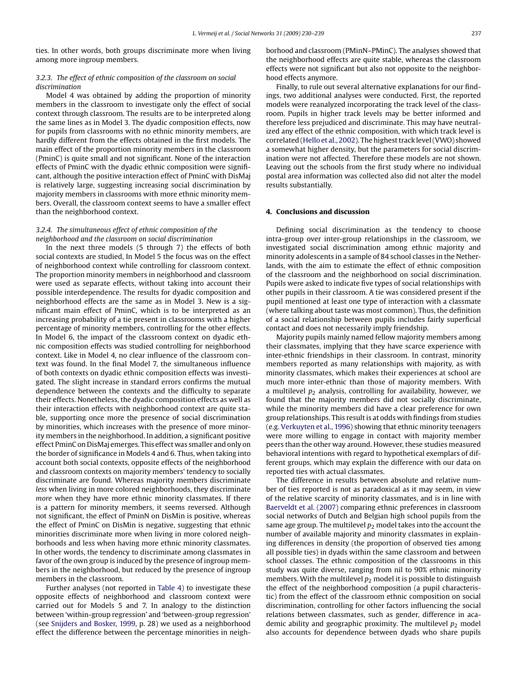ties. In other words, both groups discriminate more when living among more ingroup members.

# *3.2.3. The effect of ethnic composition of the classroom on social discrimination*

Model 4 was obtained by adding the proportion of minority members in the classroom to investigate only the effect of social context through classroom. The results are to be interpreted along the same lines as in Model 3. The dyadic composition effects, now for pupils from classrooms with no ethnic minority members, are hardly different from the effects obtained in the first models. The main effect of the proportion minority members in the classroom (PminC) is quite small and not significant. None of the interaction effects of PminC with the dyadic ethnic composition were significant, although the positive interaction effect of PminC with DisMaj is relatively large, suggesting increasing social discrimination by majority members in classrooms with more ethnic minority members. Overall, the classroom context seems to have a smaller effect than the neighborhood context.

# *3.2.4. The simultaneous effect of ethnic composition of the neighborhood and the classroom on social discrimination*

In the next three models (5 through 7) the effects of both social contexts are studied, In Model 5 the focus was on the effect of neighborhood context while controlling for classroom context. The proportion minority members in neighborhood and classroom were used as separate effects, without taking into account their possible interdependence. The results for dyadic composition and neighborhood effects are the same as in Model 3. New is a significant main effect of PminC, which is to be interpreted as an increasing probability of a tie present in classrooms with a higher percentage of minority members, controlling for the other effects. In Model 6, the impact of the classroom context on dyadic ethnic composition effects was studied controlling for neighborhood context. Like in Model 4, no clear influence of the classroom context was found. In the final Model 7, the simultaneous influence of both contexts on dyadic ethnic composition effects was investigated. The slight increase in standard errors confirms the mutual dependence between the contexts and the difficulty to separate their effects. Nonetheless, the dyadic composition effects as well as their interaction effects with neighborhood context are quite stable, supporting once more the presence of social discrimination by minorities, which increases with the presence of more minority members in the neighborhood. In addition, a significant positive effect PminC on DisMaj emerges. This effect was smaller and only on the border of significance in Models 4 and 6. Thus, when taking into account both social contexts, opposite effects of the neighborhood and classroom contexts on majority members' tendency to socially discriminate are found. Whereas majority members discriminate *less* when living in more colored neighborhoods, they discriminate *more* when they have more ethnic minority classmates. If there is a pattern for minority members, it seems reversed. Although not significant, the effect of PminN on DisMin is positive, whereas the effect of PminC on DisMin is negative, suggesting that ethnic minorities discriminate more when living in more colored neighborhoods and less when having more ethnic minority classmates. In other words, the tendency to discriminate among classmates in favor of the own group is induced by the presence of ingroup members in the neighborhood, but reduced by the presence of ingroup members in the classroom.

Further analyses (not reported in [Table 4\)](#page-5-0) to investigate these opposite effects of neighborhood and classroom context were carried out for Models 5 and 7. In analogy to the distinction between 'within-group regression' and 'between-group regression' (see [Snijders and Bosker, 1999, p](#page-9-0). 28) we used as a neighborhood effect the difference between the percentage minorities in neighborhood and classroom (PMinN–PMinC). The analyses showed that the neighborhood effects are quite stable, whereas the classroom effects were not significant but also not opposite to the neighborhood effects anymore.

Finally, to rule out several alternative explanations for our findings, two additional analyses were conducted. First, the reported models were reanalyzed incorporating the track level of the classroom. Pupils in higher track levels may be better informed and therefore less prejudiced and discriminate. This may have neutralized any effect of the ethnic composition, with which track level is correlated ([Hello et al., 2002\).](#page-8-0) The highest track level (VWO) showed a somewhat higher density, but the parameters for social discrimination were not affected. Therefore these models are not shown. Leaving out the schools from the first study where no individual postal area information was collected also did not alter the model results substantially.

## **4. Conclusions and discussion**

Defining social discrimination as the tendency to choose intra-group over inter-group relationships in the classroom, we investigated social discrimination among ethnic majority and minority adolescents in a sample of 84 school classes in the Netherlands, with the aim to estimate the effect of ethnic composition of the classroom and the neighborhood on social discrimination. Pupils were asked to indicate five types of social relationships with other pupils in their classroom. A tie was considered present if the pupil mentioned at least one type of interaction with a classmate (where talking about taste was most common). Thus, the definition of a social relationship between pupils includes fairly superficial contact and does not necessarily imply friendship.

Majority pupils mainly named fellow majority members among their classmates, implying that they have scarce experience with inter-ethnic friendships in their classroom. In contrast, minority members reported as many relationships with majority, as with minority classmates, which makes their experiences at school are much more inter-ethnic than those of majority members. With a multilevel  $p_2$  analysis, controlling for availability, however, we found that the majority members did not socially discriminate, while the minority members did have a clear preference for own group relationships. This result is at odds with findings from studies (e.g. [Verkuyten et al., 1996\) s](#page-9-0)howing that ethnic minority teenagers were more willing to engage in contact with majority member peers than the other way around. However, these studies measured behavioral intentions with regard to hypothetical exemplars of different groups, which may explain the difference with our data on reported ties with actual classmates.

The difference in results between absolute and relative number of ties reported is not as paradoxical as it may seem, in view of the relative scarcity of minority classmates, and is in line with [Baerveldt et al. \(2007\)](#page-8-0) comparing ethnic preferences in classroom social networks of Dutch and Belgian high school pupils from the same age group. The multilevel  $p_2$  model takes into the account the number of available majority and minority classmates in explaining differences in density (the proportion of observed ties among all possible ties) in dyads within the same classroom and between school classes. The ethnic composition of the classrooms in this study was quite diverse, ranging from nil to 90% ethnic minority members. With the multilevel  $p_2$  model it is possible to distinguish the effect of the neighborhood composition (a pupil characteristic) from the effect of the classroom ethnic composition on social discrimination, controlling for other factors influencing the social relations between classmates, such as gender, difference in academic ability and geographic proximity. The multilevel  $p_2$  model also accounts for dependence between dyads who share pupils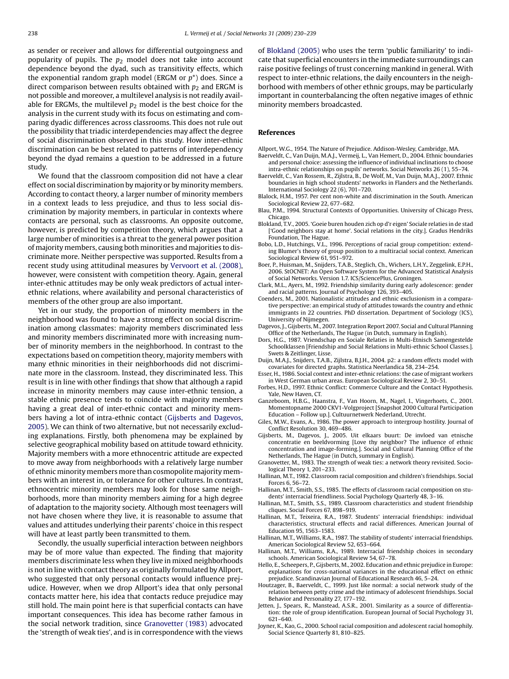<span id="page-8-0"></span>as sender or receiver and allows for differential outgoingness and popularity of pupils. The  $p_2$  model does not take into account dependence beyond the dyad, such as transitivity effects, which the exponential random graph model (ERGM or *p*\*) does. Since a direct comparison between results obtained with  $p_2$  and ERGM is not possible and moreover, a multilevel analysis is not readily available for ERGMs, the multilevel  $p_2$  model is the best choice for the analysis in the current study with its focus on estimating and comparing dyadic differences across classrooms. This does not rule out the possibility that triadic interdependencies may affect the degree of social discrimination observed in this study. How inter-ethnic discrimination can be best related to patterns of interdependency beyond the dyad remains a question to be addressed in a future study.

We found that the classroom composition did not have a clear effect on social discrimination by majority or by minority members. According to contact theory, a larger number of minority members in a context leads to less prejudice, and thus to less social discrimination by majority members, in particular in contexts where contacts are personal, such as classrooms. An opposite outcome, however, is predicted by competition theory, which argues that a large number of minorities is a threat to the general power position of majority members, causing both minorities and majorities to discriminate more. Neither perspective was supported. Results from a recent study using attitudinal measures by [Vervoort et al. \(2008\),](#page-9-0) however, were consistent with competition theory. Again, general inter-ethnic attitudes may be only weak predictors of actual interethnic relations, where availability and personal characteristics of members of the other group are also important.

Yet in our study, the proportion of minority members in the neighborhood was found to have a strong effect on social discrimination among classmates: majority members discriminated less and minority members discriminated more with increasing number of minority members in the neighborhood. In contrast to the expectations based on competition theory, majority members with many ethnic minorities in their neighborhoods did not discriminate more in the classroom. Instead, they discriminated less. This result is in line with other findings that show that although a rapid increase in minority members may cause inter-ethnic tension, a stable ethnic presence tends to coincide with majority members having a great deal of inter-ethnic contact and minority members having a lot of intra-ethnic contact (Gijsberts and Dagevos, 2005). We can think of two alternative, but not necessarily excluding explanations. Firstly, both phenomena may be explained by selective geographical mobility based on attitude toward ethnicity. Majority members with a more ethnocentric attitude are expected to move away from neighborhoods with a relatively large number of ethnic minority members more than cosmopolite majority members with an interest in, or tolerance for other cultures. In contrast, ethnocentric minority members may look for those same neighborhoods, more than minority members aiming for a high degree of adaptation to the majority society. Although most teenagers will not have chosen where they live, it is reasonable to assume that values and attitudes underlying their parents' choice in this respect will have at least partly been transmitted to them.

Secondly, the usually superficial interaction between neighbors may be of more value than expected. The finding that majority members discriminate less when they live in mixed neighborhoods is not in line with contact theory as originally formulated by Allport, who suggested that only personal contacts would influence prejudice. However, when we drop Allport's idea that only personal contacts matter here, his idea that contacts reduce prejudice may still hold. The main point here is that superficial contacts can have important consequences. This idea has become rather famous in the social network tradition, since Granovetter (1983) advocated the 'strength of weak ties', and is in correspondence with the views of Blokland (2005) who uses the term 'public familiarity' to indicate that superficial encounters in the immediate surroundings can raise positive feelings of trust concerning mankind in general. With respect to inter-ethnic relations, the daily encounters in the neighborhood with members of other ethnic groups, may be particularly important in counterbalancing the often negative images of ethnic minority members broadcasted.

# **References**

Allport, W.G., 1954. The Nature of Prejudice. Addison-Wesley, Cambridge, MA.

- Baerveldt, C., Van Duijn, M.A.J., Vermeij, L., Van Hemert, D., 2004. Ethnic boundaries and personal choice: assessing the influence of individual inclinations to choose intra-ethnic relationships on pupils' networks. Social Networks 26 (1), 55–74.
- Baerveldt, C., Van Rossem, R., Zijlstra, B., De Wolf, M., Van Duijn, M.A.J., 2007. Ethnic boundaries in high school students' networks in Flanders and the Netherlands. International Sociology 22 (6), 701–720.
- Blalock, H.M., 1957. Per cent non-white and discrimination in the South. American Sociological Review 22, 677–682.
- Blau, P.M., 1994. Structural Contexts of Opportunities. University of Chicago Press, Chicago.
- Blokland, T.V., 2005. 'Goeie buren houden zich op d'r eigen' Sociale relaties in de stad ['Good neighbors stay at home'. Social relations in the city.]. Gradus Hendriks Foundation, The Hague.
- Bobo, L.D., Hutchings, V.L., 1996. Perceptions of racial group competition: extending Blumer's theory of group position to a multiracial social context. American Sociological Review 61, 951–972.
- Boer, P., Huisman, M., Snijders, T.A.B., Steglich, Ch., Wichers, L.H.Y., Zeggelink, E.P.H., 2006. StOCNET: An Open Software System for the Advanced Statistical Analysis of Social Networks. Version 1.7. ICS/SciencePlus, Groningen.
- Clark, M.L., Ayers, M., 1992. Friendship similarity during early adolescence: gender and racial patterns. Journal of Psychology 126, 393–405.
- Coenders, M., 2001. Nationalistic attitudes and ethnic exclusionism in a comparative perspective: an empirical study of attitudes towards the country and ethnic immigrants in 22 countries. PhD dissertation. Department of Sociology (ICS), University of Nijmegen.
- Dagevos, J., Gijsberts, M., 2007. Integration Report 2007. Social and Cultural Planning Office of the Netherlands, The Hague (in Dutch, summary in English).
- Dors, H.G., 1987. Vriendschap en Sociale Relaties in Multi-Etnisch Samengestelde Schoolklassen [Friendship and Social Relations in Multi-ethnic School Classes.]. Swets & Zeitlinger, Lisse.
- Duijn, M.A.J., Snijders, T.A.B., Zijlstra, B.J.H., 2004. p2: a random effects model with covariates for directed graphs. Statistica Neerlandica 58, 234–254.
- Esser, H., 1986. Social context and inter-ethnic relations: the case of migrant workers in West German urban areas. European Sociological Review 2, 30–51.
- Forbes, H.D., 1997. Ethnic Conflict: Commerce Culture and the Contact Hypothesis. Yale, New Haven, CT.
- Ganzeboom, H.B.G., Haanstra, F., Van Hoorn, M., Nagel, I., Vingerhoets, C., 2001. Momentopname 2000 CKV1-Volgproject [Snapshot 2000 Cultural Participation Education – Follow up.]. Cultuurnetwerk Nederland, Utrecht.
- Giles, M.W., Evans, A., 1986. The power approach to intergroup hostility. Journal of Conflict Resolution 30, 469–486.
- Gijsberts, M., Dagevos, J., 2005. Uit elkaars buurt: De invloed van etnische concentratie en beeldvorming [Love thy neighbor? The influence of ethnic concentration and image-forming.]. Social and Cultural Planning Office of the Netherlands, The Hague (in Dutch, summary in English).
- Granovetter, M., 1983. The strength of weak ties: a network theory revisited. Sociological Theory 1, 201–233.
- Hallinan, M.T., 1982. Classroom racial composition and children's friendships. Social Forces 6, 56–72.
- Hallinan, M.T., Smith, S.S., 1985. The effects of classroom racial composition on students' interracial friendliness. Social Psychology Quarterly 48, 3–16.
- Hallinan, M.T., Smith, S.S., 1989. Classroom characteristics and student friendship cliques. Social Forces 67, 898–919.
- Hallinan, M.T., Teixeira, R.A., 1987. Students' interracial friendships: individual characteristics, structural effects and racial differences. American Journal of Education 95, 1563–1583.
- Hallinan, M.T., Williams, R.A., 1987. The stability of students' interracial friendships. American Sociological Review 52, 653–664.
- Hallinan, M.T., Williams, R.A., 1989. Interracial friendship choices in secondary schools. American Sociological Review 54, 67–78.
- Hello, E., Scheepers, P., Gijsberts, M., 2002. Education and ethnic prejudice in Europe: explanations for cross-national variances in the educational effect on ethnic prejudice. Scandinavian Journal of Educational Research 46, 5–24.
- Houtzager, B., Baerveldt, C., 1999. Just like normal: a social network study of the relation between petty crime and the intimacy of adolescent friendships. Social Behavior and Personality 27, 177–192.
- Jetten, J., Spears, R., Manstead, A.S.R., 2001. Similarity as a source of differentiation: the role of group identification. European Journal of Social Psychology 31, 621–640.
- Joyner, K., Kao, G., 2000. School racial composition and adolescent racial homophily. Social Science Quarterly 81, 810–825.